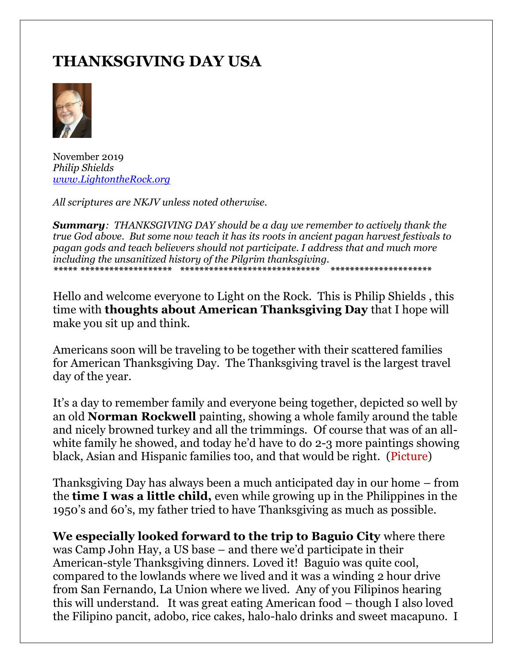# **THANKSGIVING DAY USA**



November 2019 *Philip Shields [www.LightontheRock.org](http://www.lightontherock.org/)*

*All scriptures are NKJV unless noted otherwise.* 

*Summary: THANKSGIVING DAY should be a day we remember to actively thank the true God above. But some now teach it has its roots in ancient pagan harvest festivals to pagan gods and teach believers should not participate. I address that and much more including the unsanitized history of the Pilgrim thanksgiving. \*\*\*\*\* \*\*\*\*\*\*\*\*\*\*\*\*\*\*\*\*\*\*\* \*\*\*\*\*\*\*\*\*\*\*\*\*\*\*\*\*\*\*\*\*\*\*\*\*\*\*\*\* \*\*\*\*\*\*\*\*\*\*\*\*\*\*\*\*\*\*\*\*\**

Hello and welcome everyone to Light on the Rock. This is Philip Shields , this time with **thoughts about American Thanksgiving Day** that I hope will make you sit up and think.

Americans soon will be traveling to be together with their scattered families for American Thanksgiving Day. The Thanksgiving travel is the largest travel day of the year.

It's a day to remember family and everyone being together, depicted so well by an old **Norman Rockwell** painting, showing a whole family around the table and nicely browned turkey and all the trimmings. Of course that was of an allwhite family he showed, and today he'd have to do 2-3 more paintings showing black, Asian and Hispanic families too, and that would be right. (Picture)

Thanksgiving Day has always been a much anticipated day in our home – from the **time I was a little child,** even while growing up in the Philippines in the 1950's and 60's, my father tried to have Thanksgiving as much as possible.

**We especially looked forward to the trip to Baguio City** where there was Camp John Hay, a US base – and there we'd participate in their American-style Thanksgiving dinners. Loved it! Baguio was quite cool, compared to the lowlands where we lived and it was a winding 2 hour drive from San Fernando, La Union where we lived. Any of you Filipinos hearing this will understand. It was great eating American food – though I also loved the Filipino pancit, adobo, rice cakes, halo-halo drinks and sweet macapuno. I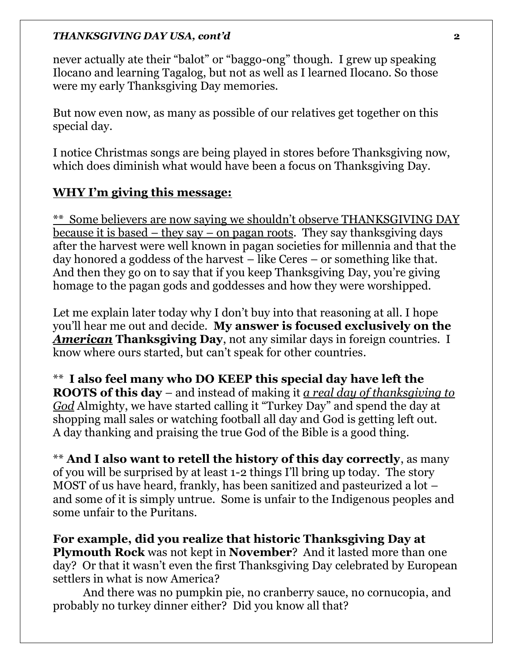never actually ate their "balot" or "baggo-ong" though. I grew up speaking Ilocano and learning Tagalog, but not as well as I learned Ilocano. So those were my early Thanksgiving Day memories.

But now even now, as many as possible of our relatives get together on this special day.

I notice Christmas songs are being played in stores before Thanksgiving now, which does diminish what would have been a focus on Thanksgiving Day.

# **WHY I'm giving this message:**

\*\* Some believers are now saying we shouldn't observe THANKSGIVING DAY because it is based – they say – on pagan roots. They say thanksgiving days after the harvest were well known in pagan societies for millennia and that the day honored a goddess of the harvest – like Ceres – or something like that. And then they go on to say that if you keep Thanksgiving Day, you're giving homage to the pagan gods and goddesses and how they were worshipped.

Let me explain later today why I don't buy into that reasoning at all. I hope you'll hear me out and decide. **My answer is focused exclusively on the**  *American* **Thanksgiving Day**, not any similar days in foreign countries. I know where ours started, but can't speak for other countries.

\*\* **I also feel many who DO KEEP this special day have left the ROOTS of this day** – and instead of making it *a real day of thanksgiving to God* Almighty, we have started calling it "Turkey Day" and spend the day at shopping mall sales or watching football all day and God is getting left out. A day thanking and praising the true God of the Bible is a good thing.

\*\* **And I also want to retell the history of this day correctly**, as many of you will be surprised by at least 1-2 things I'll bring up today. The story MOST of us have heard, frankly, has been sanitized and pasteurized a lot – and some of it is simply untrue. Some is unfair to the Indigenous peoples and some unfair to the Puritans.

**For example, did you realize that historic Thanksgiving Day at Plymouth Rock** was not kept in **November**? And it lasted more than one day? Or that it wasn't even the first Thanksgiving Day celebrated by European settlers in what is now America?

And there was no pumpkin pie, no cranberry sauce, no cornucopia, and probably no turkey dinner either? Did you know all that?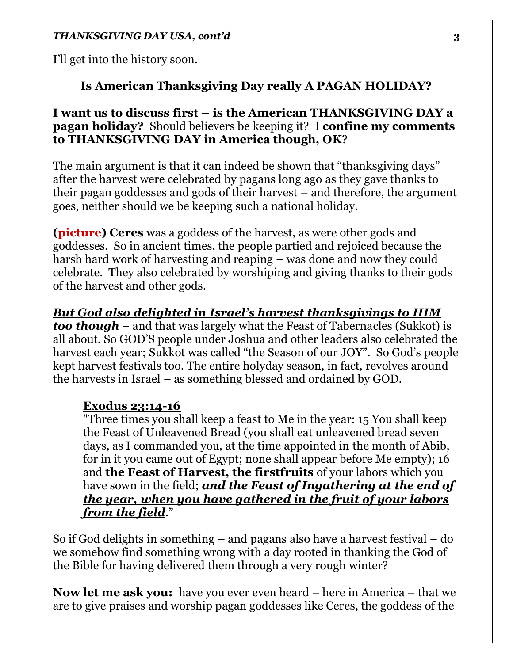I'll get into the history soon.

### **Is American Thanksgiving Day really A PAGAN HOLIDAY?**

# **I want us to discuss first – is the American THANKSGIVING DAY a pagan holiday?** Should believers be keeping it? I **confine my comments to THANKSGIVING DAY in America though, OK**?

The main argument is that it can indeed be shown that "thanksgiving days" after the harvest were celebrated by pagans long ago as they gave thanks to their pagan goddesses and gods of their harvest – and therefore, the argument goes, neither should we be keeping such a national holiday.

**(picture) Ceres** was a goddess of the harvest, as were other gods and goddesses. So in ancient times, the people partied and rejoiced because the harsh hard work of harvesting and reaping – was done and now they could celebrate. They also celebrated by worshiping and giving thanks to their gods of the harvest and other gods.

*But God also delighted in Israel's harvest thanksgivings to HIM too though* – and that was largely what the Feast of Tabernacles (Sukkot) is all about. So GOD'S people under Joshua and other leaders also celebrated the harvest each year; Sukkot was called "the Season of our JOY". So God's people kept harvest festivals too. The entire holyday season, in fact, revolves around the harvests in Israel – as something blessed and ordained by GOD.

### **Exodus 23:14-16**

"Three times you shall keep a feast to Me in the year: 15 You shall keep the Feast of Unleavened Bread (you shall eat unleavened bread seven days, as I commanded you, at the time appointed in the month of Abib, for in it you came out of Egypt; none shall appear before Me empty); 16 and **the Feast of Harvest, the firstfruits** of your labors which you have sown in the field; *and the Feast of Ingathering at the end of the year, when you have gathered in the fruit of your labors from the field*."

So if God delights in something – and pagans also have a harvest festival – do we somehow find something wrong with a day rooted in thanking the God of the Bible for having delivered them through a very rough winter?

**Now let me ask you:** have you ever even heard – here in America – that we are to give praises and worship pagan goddesses like Ceres, the goddess of the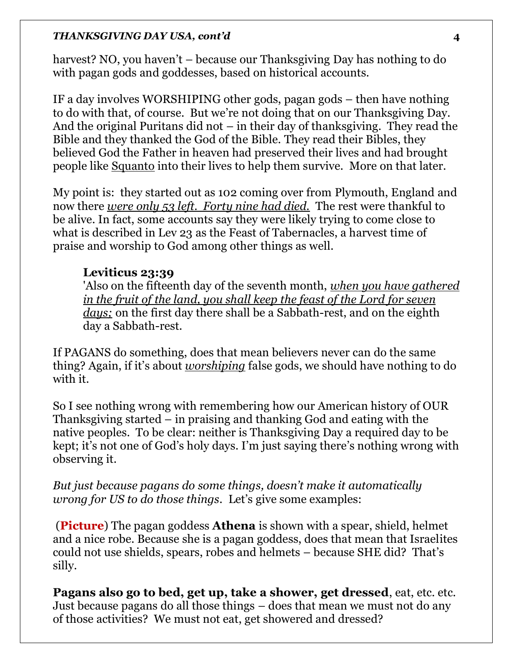harvest? NO, you haven't – because our Thanksgiving Day has nothing to do with pagan gods and goddesses, based on historical accounts.

IF a day involves WORSHIPING other gods, pagan gods – then have nothing to do with that, of course. But we're not doing that on our Thanksgiving Day. And the original Puritans did not – in their day of thanksgiving. They read the Bible and they thanked the God of the Bible. They read their Bibles, they believed God the Father in heaven had preserved their lives and had brought people like Squanto into their lives to help them survive. More on that later.

My point is: they started out as 102 coming over from Plymouth, England and now there *were only 53 left. Forty nine had died.* The rest were thankful to be alive. In fact, some accounts say they were likely trying to come close to what is described in Lev 23 as the Feast of Tabernacles, a harvest time of praise and worship to God among other things as well.

### **Leviticus 23:39**

'Also on the fifteenth day of the seventh month, *when you have gathered in the fruit of the land, you shall keep the feast of the Lord for seven days;* on the first day there shall be a Sabbath-rest, and on the eighth day a Sabbath-rest.

If PAGANS do something, does that mean believers never can do the same thing? Again, if it's about *worshiping* false gods, we should have nothing to do with it.

So I see nothing wrong with remembering how our American history of OUR Thanksgiving started – in praising and thanking God and eating with the native peoples. To be clear: neither is Thanksgiving Day a required day to be kept; it's not one of God's holy days. I'm just saying there's nothing wrong with observing it.

*But just because pagans do some things, doesn't make it automatically wrong for US to do those things*. Let's give some examples:

(**Picture**) The pagan goddess **Athena** is shown with a spear, shield, helmet and a nice robe. Because she is a pagan goddess, does that mean that Israelites could not use shields, spears, robes and helmets – because SHE did? That's silly.

**Pagans also go to bed, get up, take a shower, get dressed**, eat, etc. etc. Just because pagans do all those things – does that mean we must not do any of those activities? We must not eat, get showered and dressed?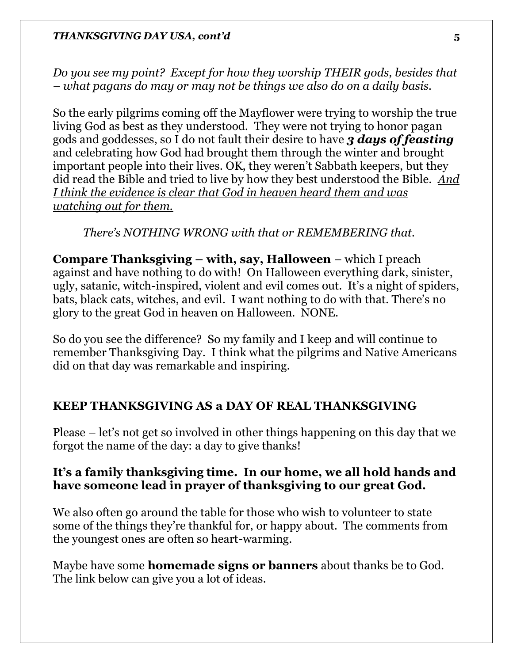*Do you see my point? Except for how they worship THEIR gods, besides that – what pagans do may or may not be things we also do on a daily basis.* 

So the early pilgrims coming off the Mayflower were trying to worship the true living God as best as they understood. They were not trying to honor pagan gods and goddesses, so I do not fault their desire to have *3 days of feasting*  and celebrating how God had brought them through the winter and brought important people into their lives. OK, they weren't Sabbath keepers, but they did read the Bible and tried to live by how they best understood the Bible. *And I think the evidence is clear that God in heaven heard them and was watching out for them.*

### *There's NOTHING WRONG with that or REMEMBERING that.*

**Compare Thanksgiving – with, say, Halloween** – which I preach against and have nothing to do with! On Halloween everything dark, sinister, ugly, satanic, witch-inspired, violent and evil comes out. It's a night of spiders, bats, black cats, witches, and evil. I want nothing to do with that. There's no glory to the great God in heaven on Halloween. NONE.

So do you see the difference? So my family and I keep and will continue to remember Thanksgiving Day. I think what the pilgrims and Native Americans did on that day was remarkable and inspiring.

### **KEEP THANKSGIVING AS a DAY OF REAL THANKSGIVING**

Please – let's not get so involved in other things happening on this day that we forgot the name of the day: a day to give thanks!

### **It's a family thanksgiving time. In our home, we all hold hands and have someone lead in prayer of thanksgiving to our great God.**

We also often go around the table for those who wish to volunteer to state some of the things they're thankful for, or happy about. The comments from the youngest ones are often so heart-warming.

Maybe have some **homemade signs or banners** about thanks be to God. The link below can give you a lot of ideas.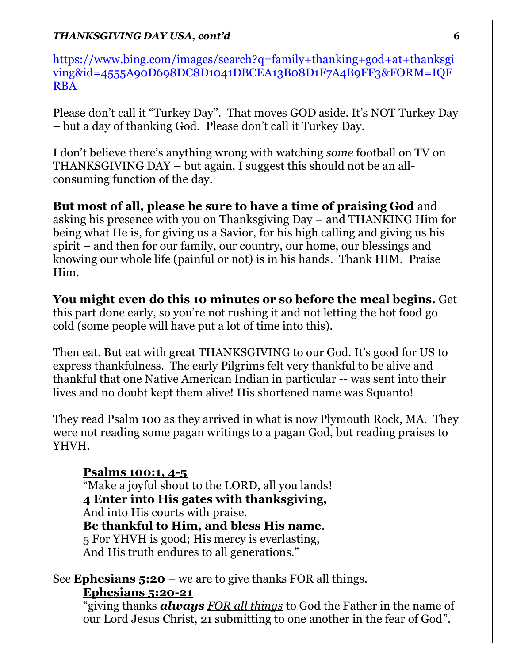[https://www.bing.com/images/search?q=family+thanking+god+at+thanksgi](https://www.bing.com/images/search?q=family+thanking+god+at+thanksgiving&id=4555A90D698DC8D1041DBCEA13B08D1F7A4B9FF3&FORM=IQFRBA) [ving&id=4555A90D698DC8D1041DBCEA13B08D1F7A4B9FF3&FORM=IQF](https://www.bing.com/images/search?q=family+thanking+god+at+thanksgiving&id=4555A90D698DC8D1041DBCEA13B08D1F7A4B9FF3&FORM=IQFRBA) [RBA](https://www.bing.com/images/search?q=family+thanking+god+at+thanksgiving&id=4555A90D698DC8D1041DBCEA13B08D1F7A4B9FF3&FORM=IQFRBA)

Please don't call it "Turkey Day". That moves GOD aside. It's NOT Turkey Day – but a day of thanking God. Please don't call it Turkey Day.

I don't believe there's anything wrong with watching *some* football on TV on THANKSGIVING DAY – but again, I suggest this should not be an allconsuming function of the day.

**But most of all, please be sure to have a time of praising God** and asking his presence with you on Thanksgiving Day – and THANKING Him for being what He is, for giving us a Savior, for his high calling and giving us his spirit – and then for our family, our country, our home, our blessings and knowing our whole life (painful or not) is in his hands. Thank HIM. Praise Him.

**You might even do this 10 minutes or so before the meal begins.** Get this part done early, so you're not rushing it and not letting the hot food go cold (some people will have put a lot of time into this).

Then eat. But eat with great THANKSGIVING to our God. It's good for US to express thankfulness. The early Pilgrims felt very thankful to be alive and thankful that one Native American Indian in particular -- was sent into their lives and no doubt kept them alive! His shortened name was Squanto!

They read Psalm 100 as they arrived in what is now Plymouth Rock, MA. They were not reading some pagan writings to a pagan God, but reading praises to YHVH.

# **Psalms 100:1, 4-5**

"Make a joyful shout to the LORD, all you lands! **4 Enter into His gates with thanksgiving,** And into His courts with praise. **Be thankful to Him, and bless His name**. 5 For YHVH is good; His mercy is everlasting, And His truth endures to all generations."

See **Ephesians 5:20** – we are to give thanks FOR all things.

### **Ephesians 5:20-21**

"giving thanks *always FOR all things* to God the Father in the name of our Lord Jesus Christ, 21 submitting to one another in the fear of God".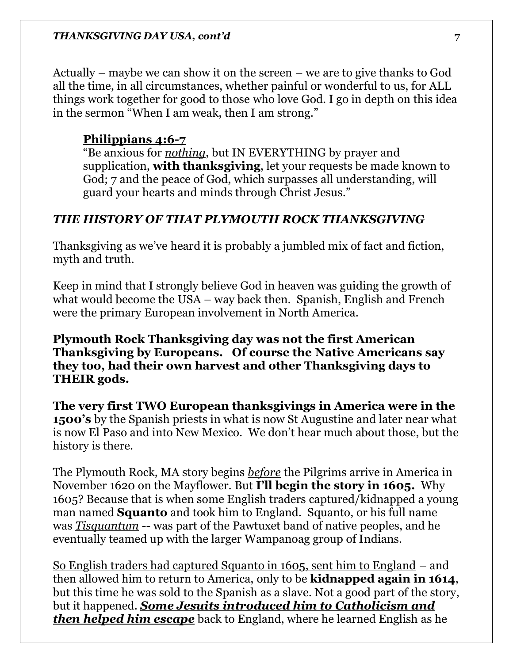Actually – maybe we can show it on the screen – we are to give thanks to God all the time, in all circumstances, whether painful or wonderful to us, for ALL things work together for good to those who love God. I go in depth on this idea in the sermon "When I am weak, then I am strong."

# **Philippians 4:6-7**

"Be anxious for *nothing*, but IN EVERYTHING by prayer and supplication, **with thanksgiving**, let your requests be made known to God; 7 and the peace of God, which surpasses all understanding, will guard your hearts and minds through Christ Jesus."

# *THE HISTORY OF THAT PLYMOUTH ROCK THANKSGIVING*

Thanksgiving as we've heard it is probably a jumbled mix of fact and fiction, myth and truth.

Keep in mind that I strongly believe God in heaven was guiding the growth of what would become the USA – way back then. Spanish, English and French were the primary European involvement in North America.

**Plymouth Rock Thanksgiving day was not the first American Thanksgiving by Europeans. Of course the Native Americans say they too, had their own harvest and other Thanksgiving days to THEIR gods.** 

**The very first TWO European thanksgivings in America were in the 1500's** by the Spanish priests in what is now St Augustine and later near what is now El Paso and into New Mexico. We don't hear much about those, but the history is there.

The Plymouth Rock, MA story begins *before* the Pilgrims arrive in America in November 1620 on the Mayflower. But **I'll begin the story in 1605.** Why 1605? Because that is when some English traders captured/kidnapped a young man named **Squanto** and took him to England. Squanto, or his full name was *Tisquantum* -- was part of the Pawtuxet band of native peoples, and he eventually teamed up with the larger Wampanoag group of Indians.

So English traders had captured Squanto in 1605, sent him to England – and then allowed him to return to America, only to be **kidnapped again in 1614**, but this time he was sold to the Spanish as a slave. Not a good part of the story, but it happened. *Some Jesuits introduced him to Catholicism and then helped him escape* back to England, where he learned English as he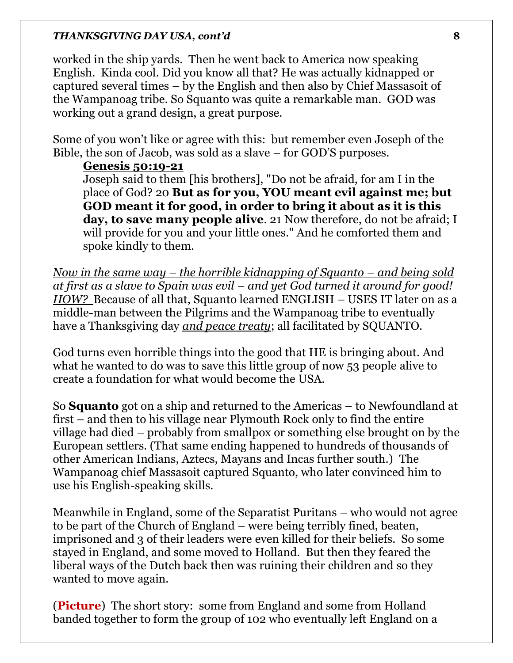worked in the ship yards. Then he went back to America now speaking English. Kinda cool. Did you know all that? He was actually kidnapped or captured several times – by the English and then also by Chief Massasoit of the Wampanoag tribe. So Squanto was quite a remarkable man. GOD was working out a grand design, a great purpose.

Some of you won't like or agree with this: but remember even Joseph of the Bible, the son of Jacob, was sold as a slave – for GOD'S purposes.

### **Genesis 50:19-21**

Joseph said to them [his brothers], "Do not be afraid, for am I in the place of God? 20 **But as for you, YOU meant evil against me; but GOD meant it for good, in order to bring it about as it is this day, to save many people alive**. 21 Now therefore, do not be afraid; I will provide for you and your little ones." And he comforted them and spoke kindly to them.

*Now in the same way – the horrible kidnapping of Squanto – and being sold at first as a slave to Spain was evil – and yet God turned it around for good! HOW?* Because of all that, Squanto learned ENGLISH – USES IT later on as a middle-man between the Pilgrims and the Wampanoag tribe to eventually have a Thanksgiving day *and peace treaty*; all facilitated by SQUANTO.

God turns even horrible things into the good that HE is bringing about. And what he wanted to do was to save this little group of now 53 people alive to create a foundation for what would become the USA.

So **Squanto** got on a ship and returned to the Americas – to Newfoundland at first – and then to his village near Plymouth Rock only to find the entire village had died – probably from smallpox or something else brought on by the European settlers. (That same ending happened to hundreds of thousands of other American Indians, Aztecs, Mayans and Incas further south.) The Wampanoag chief Massasoit captured Squanto, who later convinced him to use his English-speaking skills.

Meanwhile in England, some of the Separatist Puritans – who would not agree to be part of the Church of England – were being terribly fined, beaten, imprisoned and 3 of their leaders were even killed for their beliefs. So some stayed in England, and some moved to Holland. But then they feared the liberal ways of the Dutch back then was ruining their children and so they wanted to move again.

(**Picture**) The short story: some from England and some from Holland banded together to form the group of 102 who eventually left England on a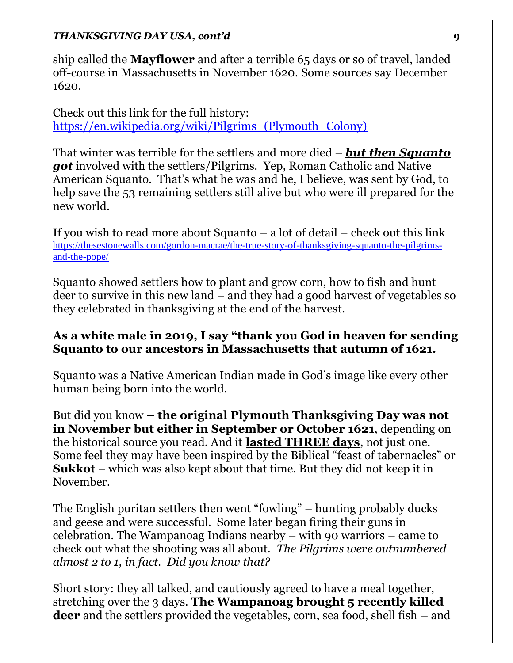ship called the **Mayflower** and after a terrible 65 days or so of travel, landed off-course in Massachusetts in November 1620. Some sources say December 1620.

Check out this link for the full history: [https://en.wikipedia.org/wiki/Pilgrims\\_\(Plymouth\\_Colony\)](https://en.wikipedia.org/wiki/Pilgrims_(Plymouth_Colony))

That winter was terrible for the settlers and more died – *but then Squanto got* involved with the settlers/Pilgrims. Yep, Roman Catholic and Native American Squanto. That's what he was and he, I believe, was sent by God, to help save the 53 remaining settlers still alive but who were ill prepared for the new world.

If you wish to read more about Squanto  $-$  a lot of detail  $-$  check out this link [https://thesestonewalls.com/gordon-macrae/the-true-story-of-thanksgiving-squanto-the-pilgrims](https://thesestonewalls.com/gordon-macrae/the-true-story-of-thanksgiving-squanto-the-pilgrims-and-the-pope/)[and-the-pope/](https://thesestonewalls.com/gordon-macrae/the-true-story-of-thanksgiving-squanto-the-pilgrims-and-the-pope/)

Squanto showed settlers how to plant and grow corn, how to fish and hunt deer to survive in this new land – and they had a good harvest of vegetables so they celebrated in thanksgiving at the end of the harvest.

### **As a white male in 2019, I say "thank you God in heaven for sending Squanto to our ancestors in Massachusetts that autumn of 1621.**

Squanto was a Native American Indian made in God's image like every other human being born into the world.

But did you know **– the original Plymouth Thanksgiving Day was not in November but either in September or October 1621**, depending on the historical source you read. And it **lasted THREE days**, not just one. Some feel they may have been inspired by the Biblical "feast of tabernacles" or **Sukkot** – which was also kept about that time. But they did not keep it in November.

The English puritan settlers then went "fowling" – hunting probably ducks and geese and were successful. Some later began firing their guns in celebration. The Wampanoag Indians nearby – with 90 warriors – came to check out what the shooting was all about. *The Pilgrims were outnumbered almost 2 to 1, in fact. Did you know that?* 

Short story: they all talked, and cautiously agreed to have a meal together, stretching over the 3 days. **The Wampanoag brought 5 recently killed deer** and the settlers provided the vegetables, corn, sea food, shell fish – and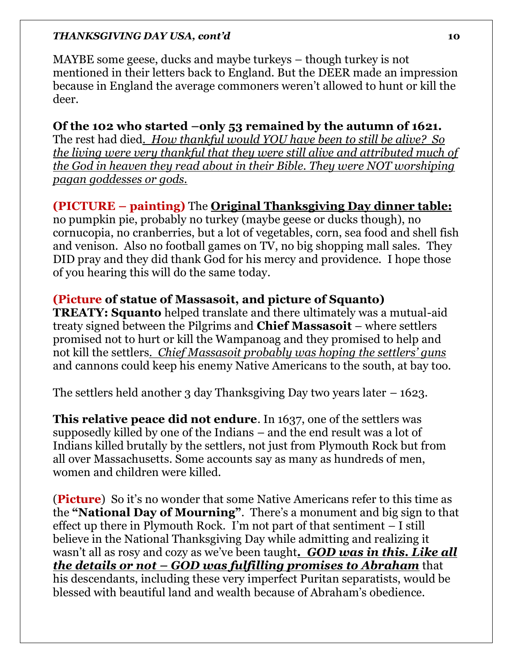MAYBE some geese, ducks and maybe turkeys – though turkey is not mentioned in their letters back to England. But the DEER made an impression because in England the average commoners weren't allowed to hunt or kill the deer.

# **Of the 102 who started –only 53 remained by the autumn of 1621.**

The rest had died*. How thankful would YOU have been to still be alive? So the living were very thankful that they were still alive and attributed much of the God in heaven they read about in their Bible. They were NOT worshiping pagan goddesses or gods.* 

# **(PICTURE – painting)** The **Original Thanksgiving Day dinner table:**

no pumpkin pie, probably no turkey (maybe geese or ducks though), no cornucopia, no cranberries, but a lot of vegetables, corn, sea food and shell fish and venison. Also no football games on TV, no big shopping mall sales. They DID pray and they did thank God for his mercy and providence. I hope those of you hearing this will do the same today.

# **(Picture of statue of Massasoit, and picture of Squanto)**

**TREATY: Squanto** helped translate and there ultimately was a mutual-aid treaty signed between the Pilgrims and **Chief Massasoit** – where settlers promised not to hurt or kill the Wampanoag and they promised to help and not kill the settlers*. Chief Massasoit probably was hoping the settlers' guns* and cannons could keep his enemy Native Americans to the south, at bay too.

The settlers held another 3 day Thanksgiving Day two years later  $-1623$ .

**This relative peace did not endure**. In 1637, one of the settlers was supposedly killed by one of the Indians – and the end result was a lot of Indians killed brutally by the settlers, not just from Plymouth Rock but from all over Massachusetts. Some accounts say as many as hundreds of men, women and children were killed.

(**Picture**) So it's no wonder that some Native Americans refer to this time as the **"National Day of Mourning"**. There's a monument and big sign to that effect up there in Plymouth Rock. I'm not part of that sentiment – I still believe in the National Thanksgiving Day while admitting and realizing it wasn't all as rosy and cozy as we've been taught*. GOD was in this. Like all the details or not – GOD was fulfilling promises to Abraham* that his descendants, including these very imperfect Puritan separatists, would be blessed with beautiful land and wealth because of Abraham's obedience.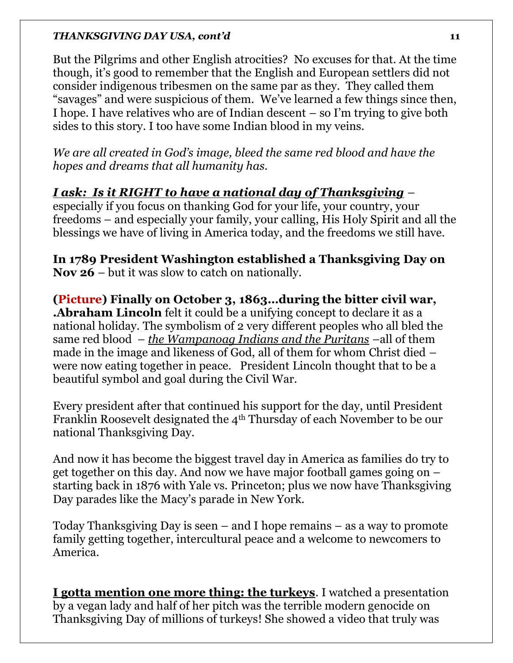But the Pilgrims and other English atrocities? No excuses for that. At the time though, it's good to remember that the English and European settlers did not consider indigenous tribesmen on the same par as they. They called them "savages" and were suspicious of them. We've learned a few things since then, I hope. I have relatives who are of Indian descent – so I'm trying to give both sides to this story. I too have some Indian blood in my veins.

*We are all created in God's image, bleed the same red blood and have the hopes and dreams that all humanity has.* 

# *I ask: Is it RIGHT to have a national day of Thanksgiving* –

especially if you focus on thanking God for your life, your country, your freedoms – and especially your family, your calling, His Holy Spirit and all the blessings we have of living in America today, and the freedoms we still have.

**In 1789 President Washington established a Thanksgiving Day on Nov 26** – but it was slow to catch on nationally.

**(Picture) Finally on October 3, 1863…during the bitter civil war, .Abraham Lincoln** felt it could be a unifying concept to declare it as a national holiday. The symbolism of 2 very different peoples who all bled the same red blood – *the Wampanoag Indians and the Puritans* –all of them made in the image and likeness of God, all of them for whom Christ died – were now eating together in peace. President Lincoln thought that to be a beautiful symbol and goal during the Civil War.

Every president after that continued his support for the day, until President Franklin Roosevelt designated the 4th Thursday of each November to be our national Thanksgiving Day.

And now it has become the biggest travel day in America as families do try to get together on this day. And now we have major football games going on – starting back in 1876 with Yale vs. Princeton; plus we now have Thanksgiving Day parades like the Macy's parade in New York.

Today Thanksgiving Day is seen – and I hope remains – as a way to promote family getting together, intercultural peace and a welcome to newcomers to America.

**I gotta mention one more thing: the turkeys**. I watched a presentation by a vegan lady and half of her pitch was the terrible modern genocide on Thanksgiving Day of millions of turkeys! She showed a video that truly was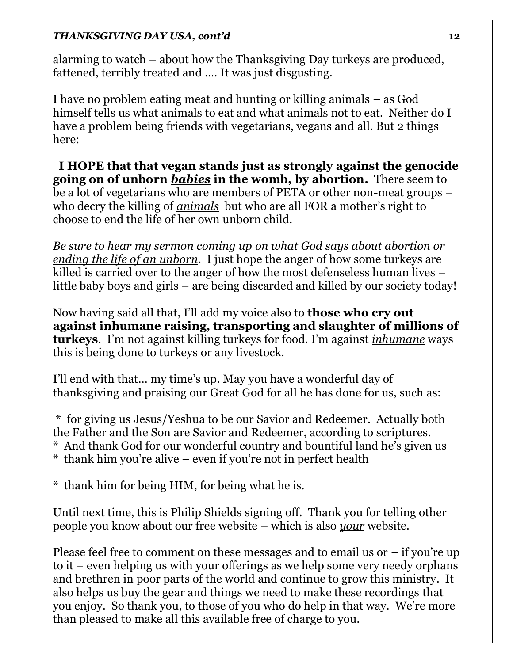alarming to watch – about how the Thanksgiving Day turkeys are produced, fattened, terribly treated and …. It was just disgusting.

I have no problem eating meat and hunting or killing animals – as God himself tells us what animals to eat and what animals not to eat. Neither do I have a problem being friends with vegetarians, vegans and all. But 2 things here:

 **I HOPE that that vegan stands just as strongly against the genocide going on of unborn** *babies* **in the womb, by abortion.** There seem to be a lot of vegetarians who are members of PETA or other non-meat groups – who decry the killing of *animals* but who are all FOR a mother's right to choose to end the life of her own unborn child.

*Be sure to hear my sermon coming up on what God says about abortion or ending the life of an unborn*. I just hope the anger of how some turkeys are killed is carried over to the anger of how the most defenseless human lives – little baby boys and girls – are being discarded and killed by our society today!

Now having said all that, I'll add my voice also to **those who cry out against inhumane raising, transporting and slaughter of millions of turkeys**. I'm not against killing turkeys for food. I'm against *inhumane* ways this is being done to turkeys or any livestock.

I'll end with that… my time's up. May you have a wonderful day of thanksgiving and praising our Great God for all he has done for us, such as:

\* for giving us Jesus/Yeshua to be our Savior and Redeemer. Actually both the Father and the Son are Savior and Redeemer, according to scriptures.

- \* And thank God for our wonderful country and bountiful land he's given us
- \* thank him you're alive even if you're not in perfect health
- \* thank him for being HIM, for being what he is.

Until next time, this is Philip Shields signing off. Thank you for telling other people you know about our free website – which is also *your* website.

Please feel free to comment on these messages and to email us or  $-$  if you're up to it – even helping us with your offerings as we help some very needy orphans and brethren in poor parts of the world and continue to grow this ministry. It also helps us buy the gear and things we need to make these recordings that you enjoy. So thank you, to those of you who do help in that way. We're more than pleased to make all this available free of charge to you.